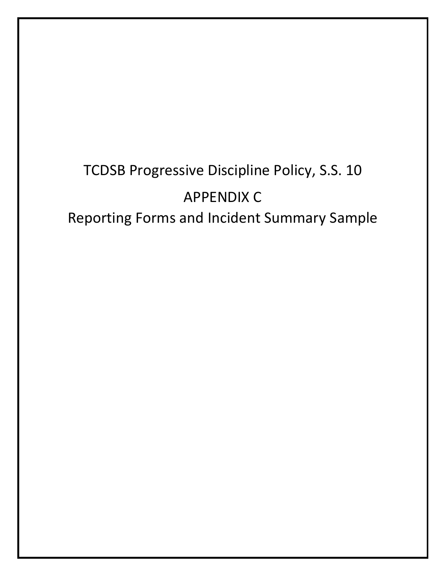# TCDSB Progressive Discipline Policy, S.S. 10 APPENDIX C Reporting Forms and Incident Summary Sample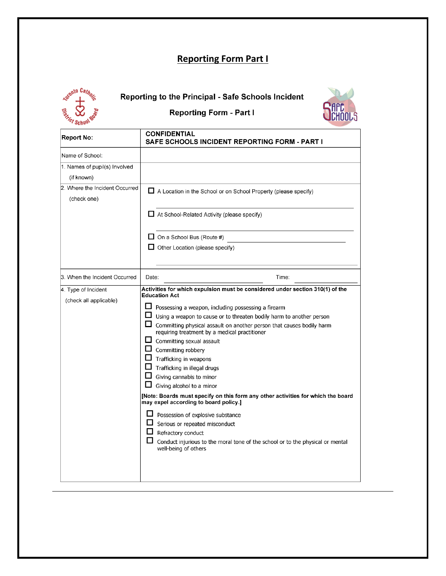# **Reporting Form Part I**



### **to the Principal - Safe Schools Incident**

# **Reporting Form - Part I ~Hrc UCHOOLS**



| <b>Report No:</b>                             | <b>CONFIDENTIAL</b><br><b>SAFE SCHOOLS INCIDENT REPORTING FORM - PART I</b>                                                                                                                                                                                                                                                                                                                                                                                                                                                                                                                                                                                                                                                                                                                    |
|-----------------------------------------------|------------------------------------------------------------------------------------------------------------------------------------------------------------------------------------------------------------------------------------------------------------------------------------------------------------------------------------------------------------------------------------------------------------------------------------------------------------------------------------------------------------------------------------------------------------------------------------------------------------------------------------------------------------------------------------------------------------------------------------------------------------------------------------------------|
| Name of School:                               |                                                                                                                                                                                                                                                                                                                                                                                                                                                                                                                                                                                                                                                                                                                                                                                                |
| 1. Names of pupil(s) Involved<br>(if known)   |                                                                                                                                                                                                                                                                                                                                                                                                                                                                                                                                                                                                                                                                                                                                                                                                |
| 2. Where the Incident Occurred<br>(check one) | A Location in the School or on School Property (please specify)                                                                                                                                                                                                                                                                                                                                                                                                                                                                                                                                                                                                                                                                                                                                |
|                                               | $\Box$ At School-Related Activity (please specify)                                                                                                                                                                                                                                                                                                                                                                                                                                                                                                                                                                                                                                                                                                                                             |
|                                               | $\Box$ On a School Bus (Route #)                                                                                                                                                                                                                                                                                                                                                                                                                                                                                                                                                                                                                                                                                                                                                               |
|                                               | Other Location (please specify)                                                                                                                                                                                                                                                                                                                                                                                                                                                                                                                                                                                                                                                                                                                                                                |
| 3. When the Incident Occurred                 | Time:<br>Date:                                                                                                                                                                                                                                                                                                                                                                                                                                                                                                                                                                                                                                                                                                                                                                                 |
| 4. Type of Incident<br>(check all applicable) | Activities for which expulsion must be considered under section 310(1) of the<br><b>Education Act</b>                                                                                                                                                                                                                                                                                                                                                                                                                                                                                                                                                                                                                                                                                          |
|                                               | l 1<br>Possessing a weapon, including possessing a firearm<br>Using a weapon to cause or to threaten bodily harm to another person<br>Committing physical assault on another person that causes bodily harm<br>requiring treatment by a medical practitioner<br>ப<br>Committing sexual assault<br>$\Box$ Committing robbery<br>$\Box$ Trafficking in weapons<br>Trafficking in illegal drugs<br>Giving cannabis to minor<br>Giving alcohol to a minor<br>[Note: Boards must specify on this form any other activities for which the board<br>may expel according to board policy.]<br>Possession of explosive substance<br>Serious or repeated misconduct<br>Refractory conduct<br>ப<br>Conduct injurious to the moral tone of the school or to the physical or mental<br>well-being of others |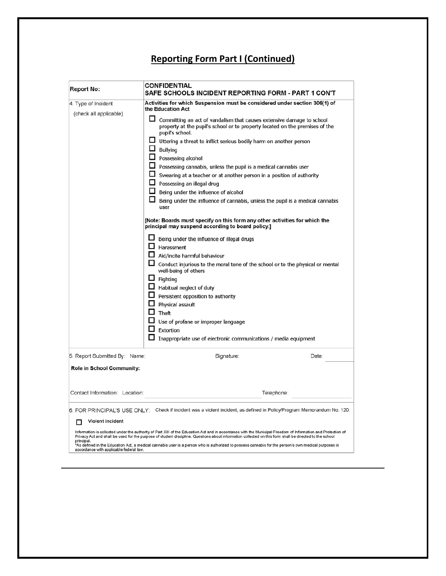#### **Reporting Form Part I (Continued)**

| <b>Report No:</b>                                     | CONFIDENTIAL<br>SAFE SCHOOLS INCIDENT REPORTING FORM - PART 1 CON'T                                                                                                                                                                                                                                                                                                                                                                                                                                                                                                                                                                                                                                                                                                                                                                                                                                                                                                                                                                                                                                                                                                                            |       |
|-------------------------------------------------------|------------------------------------------------------------------------------------------------------------------------------------------------------------------------------------------------------------------------------------------------------------------------------------------------------------------------------------------------------------------------------------------------------------------------------------------------------------------------------------------------------------------------------------------------------------------------------------------------------------------------------------------------------------------------------------------------------------------------------------------------------------------------------------------------------------------------------------------------------------------------------------------------------------------------------------------------------------------------------------------------------------------------------------------------------------------------------------------------------------------------------------------------------------------------------------------------|-------|
| 4. Type of Incident                                   | Activities for which Suspension must be considered under section 306(1) of<br>the Education Act                                                                                                                                                                                                                                                                                                                                                                                                                                                                                                                                                                                                                                                                                                                                                                                                                                                                                                                                                                                                                                                                                                |       |
|                                                       | (check all applicable)<br>$\Box$ Committing an act of vandalism that causes extensive damage to school<br>property at the pupil's school or to property located on the premises of the<br>pupil's school.<br>$\Box$ Uttering a threat to inflict serious bodily harm on another person<br>$\Box$ Bullying<br>$\Box$ Possessing alcohol<br>$\Box$ Possessing cannabis, unless the pupil is a medical cannabis user<br>$\Box$ Swearing at a teacher or at another person in a position of authority<br>Possessing an illegal drug<br>Being under the influence of alcohol<br>Being under the influence of cannabis, unless the pupil is a medical cannabis<br>user<br>[Note: Boards must specify on this form any other activities for which the<br>principal may suspend according to board policy.]<br>Being under the influence of illegal drugs<br>Harassment<br>Aid/incite harmful behaviour<br>Conduct injurious to the moral tone of the school or to the physical or mental<br>well-being of others<br>$\Box$ Fighting<br>$\Box$ Habitual neglect of duty<br>$\Box$ Persistent opposition to authority<br>$\Box$ Physical assault<br>$\Box$ Theft<br>Use of profane or improper language |       |
|                                                       | Inappropriate use of electronic communications / media equipment                                                                                                                                                                                                                                                                                                                                                                                                                                                                                                                                                                                                                                                                                                                                                                                                                                                                                                                                                                                                                                                                                                                               |       |
| 5. Report Submitted By: Name:                         | Signature:                                                                                                                                                                                                                                                                                                                                                                                                                                                                                                                                                                                                                                                                                                                                                                                                                                                                                                                                                                                                                                                                                                                                                                                     | Date: |
| Role in School Community:                             |                                                                                                                                                                                                                                                                                                                                                                                                                                                                                                                                                                                                                                                                                                                                                                                                                                                                                                                                                                                                                                                                                                                                                                                                |       |
| Contact Information: Location:                        | Telephone:                                                                                                                                                                                                                                                                                                                                                                                                                                                                                                                                                                                                                                                                                                                                                                                                                                                                                                                                                                                                                                                                                                                                                                                     |       |
|                                                       | 6. FOR PRINCIPAL'S USE ONLY: Check if incident was a violent incident, as defined in Policy/Program Memorandum No. 120.                                                                                                                                                                                                                                                                                                                                                                                                                                                                                                                                                                                                                                                                                                                                                                                                                                                                                                                                                                                                                                                                        |       |
| <b>Violent incident</b>                               |                                                                                                                                                                                                                                                                                                                                                                                                                                                                                                                                                                                                                                                                                                                                                                                                                                                                                                                                                                                                                                                                                                                                                                                                |       |
| principal.<br>accordance with applicable federal law. | Information is collected under the authority of Part XIII of the Education Act and in accordance with the Municipal Freedom of Information and Protection of<br>Privacy Act and shall be used for the purpose of student discipline. Quesitons about information collected on this form shall be directed to the school<br>*As defined in the Education Act, a medical cannabis user is a person who is authorized to possess cannabis for the person's own medical purposes in                                                                                                                                                                                                                                                                                                                                                                                                                                                                                                                                                                                                                                                                                                                |       |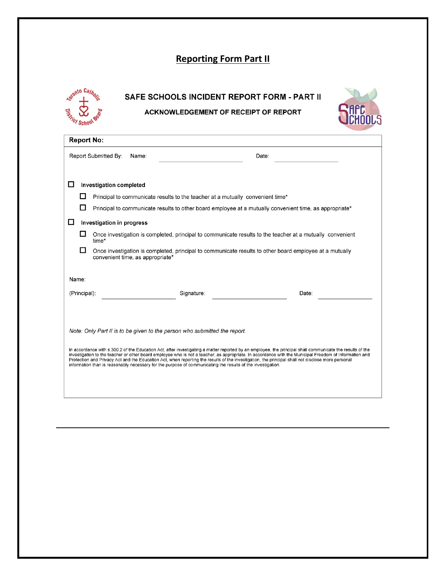# **Reporting Form Part II**